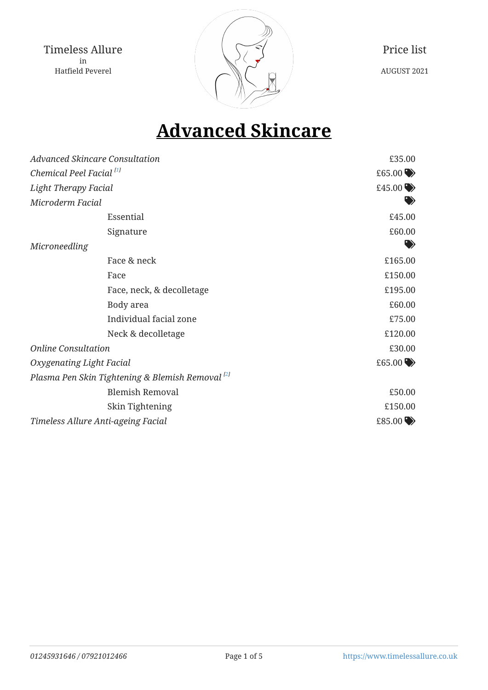

Price list AUGUST 2021

# <span id="page-0-1"></span><span id="page-0-0"></span>**Advanced Skincare**

| <b>Advanced Skincare Consultation</b>                       | £35.00                 |
|-------------------------------------------------------------|------------------------|
| Chemical Peel Facial <sup>[1]</sup>                         | £65.00 $\blacklozenge$ |
| <b>Light Therapy Facial</b>                                 | £45.00 $\rightarrow$   |
| Microderm Facial                                            |                        |
| Essential                                                   | £45.00                 |
| Signature                                                   | £60.00                 |
| Microneedling                                               |                        |
| Face & neck                                                 | £165.00                |
| Face                                                        | £150.00                |
| Face, neck, & decolletage                                   | £195.00                |
| Body area                                                   | £60.00                 |
| Individual facial zone                                      | £75.00                 |
| Neck & decolletage                                          | £120.00                |
| <b>Online Consultation</b>                                  | £30.00                 |
| Oxygenating Light Facial                                    | £65.00 $\rightarrow$   |
| Plasma Pen Skin Tightening & Blemish Removal <sup>[2]</sup> |                        |
| <b>Blemish Removal</b>                                      | £50.00                 |
| Skin Tightening                                             | £150.00                |
| Timeless Allure Anti-ageing Facial                          | £85.00 $\rightarrow$   |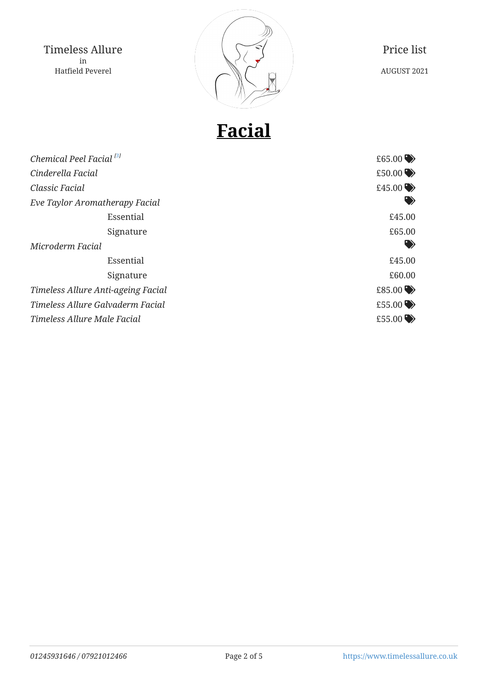

Price list AUGUST 2021

# **Facial**

<span id="page-1-0"></span>

| Chemical Peel Facial <sup>[3]</sup> | £65.00 $\blacktriangleright$ |
|-------------------------------------|------------------------------|
| Cinderella Facial                   | £50.00 $\rightarrow$         |
| Classic Facial                      | £45.00 $\rightarrow$         |
| Eve Taylor Aromatherapy Facial      | $\bullet$                    |
| Essential                           | £45.00                       |
| Signature                           | £65.00                       |
| Microderm Facial                    | ♥                            |
| Essential                           | £45.00                       |
| Signature                           | £60.00                       |
| Timeless Allure Anti-ageing Facial  | £85.00 $\rightarrow$         |
| Timeless Allure Galvaderm Facial    | £55.00 $\rightarrow$         |
| Timeless Allure Male Facial         | £55.00 $\rightarrow$         |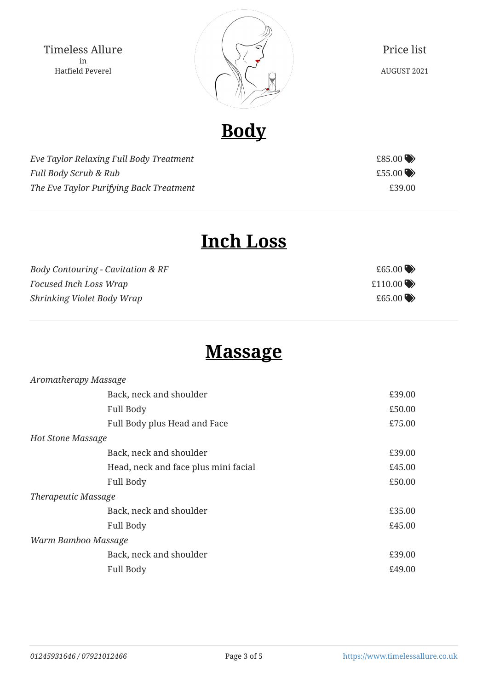

Price list AUGUST 2021

**Body**

*Eve Taylor Relaxing Full Body Treatment*  $685.00$ *Full Body Scrub & Rub*  $\leftarrow$  *E55.00* The Eve Taylor Purifying Back Treatment **EXACLE 2008** 239.00



# **Inch Loss**

*Body Contouring - Cavitation & RF*  $65.00$ *Focused Inch Loss Wrap*  $\triangle$  $\text{Shrinking Violet Body } \text{Wrap} \qquad \qquad \text{Stashrinking Violet } \text{Body } \text{Wrap}$ 

### **Massage**

| £39.00 |
|--------|
| £50.00 |
| £75.00 |
|        |
| £39.00 |
| £45.00 |
| £50.00 |
|        |
| £35.00 |
| £45.00 |
|        |
| £39.00 |
| £49.00 |
|        |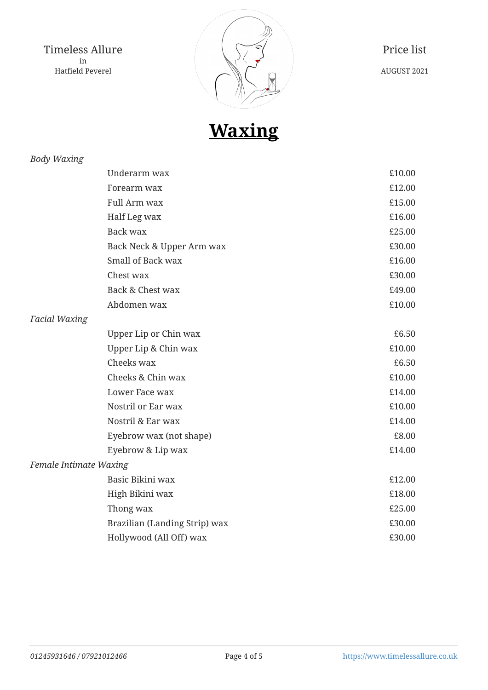

Price list AUGUST 2021

**Waxing**

#### *Body Waxing*

|                        | Underarm wax                  | £10.00 |
|------------------------|-------------------------------|--------|
|                        | Forearm wax                   | £12.00 |
|                        | Full Arm wax                  | £15.00 |
|                        | Half Leg wax                  | £16.00 |
|                        | <b>Back wax</b>               | £25.00 |
|                        | Back Neck & Upper Arm wax     | £30.00 |
|                        | Small of Back wax             | £16.00 |
|                        | Chest wax                     | £30.00 |
|                        | Back & Chest wax              | £49.00 |
|                        | Abdomen wax                   | £10.00 |
| <b>Facial Waxing</b>   |                               |        |
|                        | Upper Lip or Chin wax         | £6.50  |
|                        | Upper Lip & Chin wax          | £10.00 |
|                        | Cheeks wax                    | £6.50  |
|                        | Cheeks & Chin wax             | £10.00 |
|                        | Lower Face wax                | £14.00 |
|                        | Nostril or Ear wax            | £10.00 |
|                        | Nostril & Ear wax             | £14.00 |
|                        | Eyebrow wax (not shape)       | £8.00  |
|                        | Eyebrow & Lip wax             | £14.00 |
| Female Intimate Waxing |                               |        |
|                        | Basic Bikini wax              | £12.00 |
|                        | High Bikini wax               | £18.00 |
|                        | Thong wax                     | £25.00 |
|                        | Brazilian (Landing Strip) wax | £30.00 |
|                        | Hollywood (All Off) wax       | £30.00 |